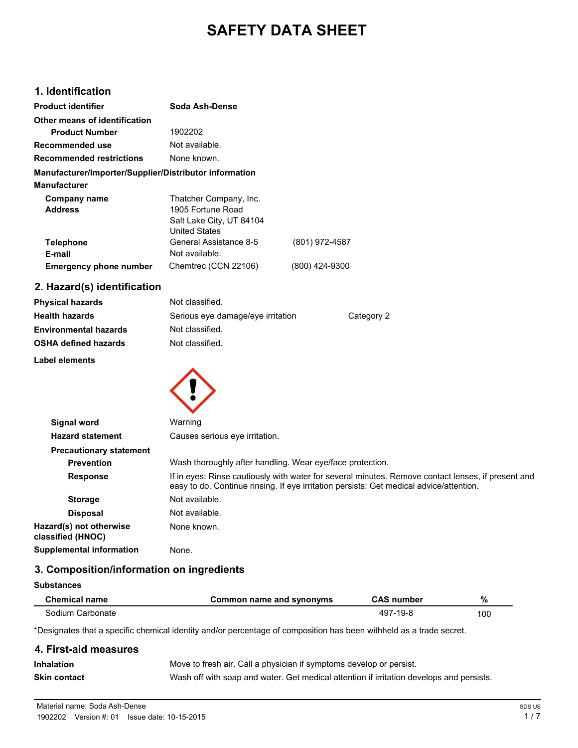# **SAFETY DATA SHEET**

# **1. Identification**

| <b>Product identifier</b>                              | Soda Ash-Dense           |                |
|--------------------------------------------------------|--------------------------|----------------|
| Other means of identification                          |                          |                |
| <b>Product Number</b>                                  | 1902202                  |                |
| Recommended use                                        | Not available.           |                |
| <b>Recommended restrictions</b>                        | None known.              |                |
| Manufacturer/Importer/Supplier/Distributor information |                          |                |
| <b>Manufacturer</b>                                    |                          |                |
| Company name                                           | Thatcher Company, Inc.   |                |
| <b>Address</b>                                         | 1905 Fortune Road        |                |
|                                                        | Salt Lake City, UT 84104 |                |
|                                                        | <b>United States</b>     |                |
| <b>Telephone</b>                                       | General Assistance 8-5   | (801) 972-4587 |
| E-mail                                                 | Not available.           |                |
| <b>Emergency phone number</b>                          | Chemtrec (CCN 22106)     | (800) 424-9300 |

# **2. Hazard(s) identification**

| <b>Physical hazards</b>      | Not classified.                   |            |
|------------------------------|-----------------------------------|------------|
| <b>Health hazards</b>        | Serious eye damage/eye irritation | Category 2 |
| <b>Environmental hazards</b> | Not classified.                   |            |
| <b>OSHA defined hazards</b>  | Not classified.                   |            |
|                              |                                   |            |

 $\blacktriangle$ 

### **Label elements**

| <b>Signal word</b>                           | Warning                                                                                                                                                                                       |
|----------------------------------------------|-----------------------------------------------------------------------------------------------------------------------------------------------------------------------------------------------|
| <b>Hazard statement</b>                      | Causes serious eye irritation.                                                                                                                                                                |
| <b>Precautionary statement</b>               |                                                                                                                                                                                               |
| <b>Prevention</b>                            | Wash thoroughly after handling. Wear eye/face protection.                                                                                                                                     |
| <b>Response</b>                              | If in eyes: Rinse cautiously with water for several minutes. Remove contact lenses, if present and<br>easy to do. Continue rinsing. If eye irritation persists: Get medical advice/attention. |
| <b>Storage</b>                               | Not available.                                                                                                                                                                                |
| <b>Disposal</b>                              | Not available.                                                                                                                                                                                |
| Hazard(s) not otherwise<br>classified (HNOC) | None known.                                                                                                                                                                                   |
| Supplemental information                     | None.                                                                                                                                                                                         |

# **3. Composition/information on ingredients**

#### **Substances**

| <b>Chemical name</b> | Common name and synonyms | <b>CAS number</b> | %   |
|----------------------|--------------------------|-------------------|-----|
| Sodium Carbonate     |                          | $497 - 19 - 8$    | 100 |

\*Designates that a specific chemical identity and/or percentage of composition has been withheld as a trade secret.

# **4. First-aid measures Inhalation** Move to fresh air. Call a physician if symptoms develop or persist. **Skin contact** Wash off with soap and water. Get medical attention if irritation develops and persists.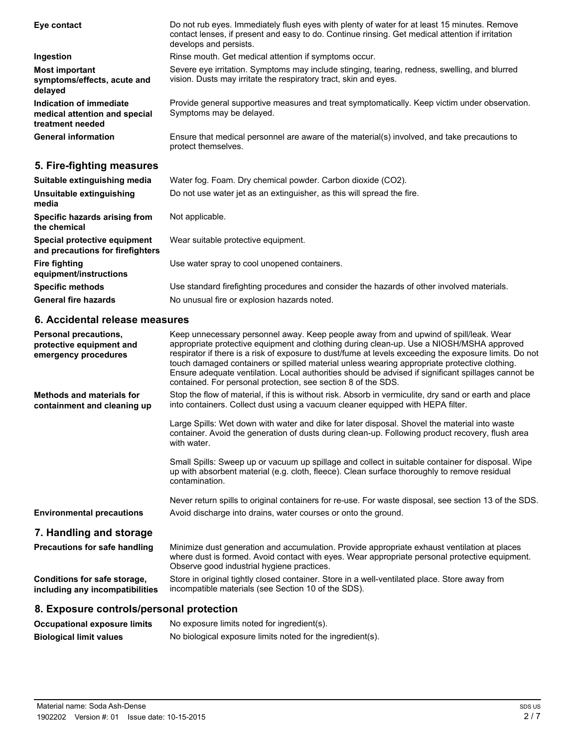| Eye contact                                                                  | Do not rub eyes. Immediately flush eyes with plenty of water for at least 15 minutes. Remove<br>contact lenses, if present and easy to do. Continue rinsing. Get medical attention if irritation<br>develops and persists. |
|------------------------------------------------------------------------------|----------------------------------------------------------------------------------------------------------------------------------------------------------------------------------------------------------------------------|
| Ingestion                                                                    | Rinse mouth. Get medical attention if symptoms occur.                                                                                                                                                                      |
| <b>Most important</b><br>symptoms/effects, acute and<br>delayed              | Severe eye irritation. Symptoms may include stinging, tearing, redness, swelling, and blurred<br>vision. Dusts may irritate the respiratory tract, skin and eyes.                                                          |
| Indication of immediate<br>medical attention and special<br>treatment needed | Provide general supportive measures and treat symptomatically. Keep victim under observation.<br>Symptoms may be delayed.                                                                                                  |
| <b>General information</b>                                                   | Ensure that medical personnel are aware of the material(s) involved, and take precautions to<br>protect themselves.                                                                                                        |
| 5. Fire-fighting measures                                                    |                                                                                                                                                                                                                            |

| Suitable extinguishing media                                     | Water fog. Foam. Dry chemical powder. Carbon dioxide (CO2).                                |
|------------------------------------------------------------------|--------------------------------------------------------------------------------------------|
| Unsuitable extinguishing<br>media                                | Do not use water jet as an extinguisher, as this will spread the fire.                     |
| Specific hazards arising from<br>the chemical                    | Not applicable.                                                                            |
| Special protective equipment<br>and precautions for firefighters | Wear suitable protective equipment.                                                        |
| <b>Fire fighting</b><br>equipment/instructions                   | Use water spray to cool unopened containers.                                               |
| <b>Specific methods</b>                                          | Use standard firefighting procedures and consider the hazards of other involved materials. |
| <b>General fire hazards</b>                                      | No unusual fire or explosion hazards noted.                                                |
|                                                                  |                                                                                            |

# **6. Accidental release measures**

| <b>Personal precautions.</b><br>protective equipment and<br>emergency procedures | Keep unnecessary personnel away. Keep people away from and upwind of spill/leak. Wear<br>appropriate protective equipment and clothing during clean-up. Use a NIOSH/MSHA approved<br>respirator if there is a risk of exposure to dust/fume at levels exceeding the exposure limits. Do not<br>touch damaged containers or spilled material unless wearing appropriate protective clothing.<br>Ensure adequate ventilation. Local authorities should be advised if significant spillages cannot be<br>contained. For personal protection, see section 8 of the SDS. |  |
|----------------------------------------------------------------------------------|---------------------------------------------------------------------------------------------------------------------------------------------------------------------------------------------------------------------------------------------------------------------------------------------------------------------------------------------------------------------------------------------------------------------------------------------------------------------------------------------------------------------------------------------------------------------|--|
| Methods and materials for<br>containment and cleaning up                         | Stop the flow of material, if this is without risk. Absorb in vermiculite, dry sand or earth and place<br>into containers. Collect dust using a vacuum cleaner equipped with HEPA filter.                                                                                                                                                                                                                                                                                                                                                                           |  |
|                                                                                  | Large Spills: Wet down with water and dike for later disposal. Shovel the material into waste<br>container. Avoid the generation of dusts during clean-up. Following product recovery, flush area<br>with water.                                                                                                                                                                                                                                                                                                                                                    |  |
|                                                                                  | Small Spills: Sweep up or vacuum up spillage and collect in suitable container for disposal. Wipe<br>up with absorbent material (e.g. cloth, fleece). Clean surface thoroughly to remove residual<br>contamination.                                                                                                                                                                                                                                                                                                                                                 |  |
|                                                                                  | Never return spills to original containers for re-use. For waste disposal, see section 13 of the SDS.                                                                                                                                                                                                                                                                                                                                                                                                                                                               |  |
| <b>Environmental precautions</b>                                                 | Avoid discharge into drains, water courses or onto the ground.                                                                                                                                                                                                                                                                                                                                                                                                                                                                                                      |  |
| 7. Handling and storage                                                          |                                                                                                                                                                                                                                                                                                                                                                                                                                                                                                                                                                     |  |
| <b>Precautions for safe handling</b>                                             | Minimize dust generation and accumulation. Provide appropriate exhaust ventilation at places<br>where dust is formed. Avoid contact with eyes. Wear appropriate personal protective equipment.<br>Observe good industrial hygiene practices.                                                                                                                                                                                                                                                                                                                        |  |
| Conditions for safe storage,<br>including any incompatibilities                  | Store in original tightly closed container. Store in a well-ventilated place. Store away from<br>incompatible materials (see Section 10 of the SDS).                                                                                                                                                                                                                                                                                                                                                                                                                |  |
| 8. Exposure controls/personal protection                                         |                                                                                                                                                                                                                                                                                                                                                                                                                                                                                                                                                                     |  |
| <b>Occupational exposure limits</b>                                              | No exposure limits noted for ingredient(s).                                                                                                                                                                                                                                                                                                                                                                                                                                                                                                                         |  |

**Biological limit values** No biological exposure limits noted for the ingredient(s).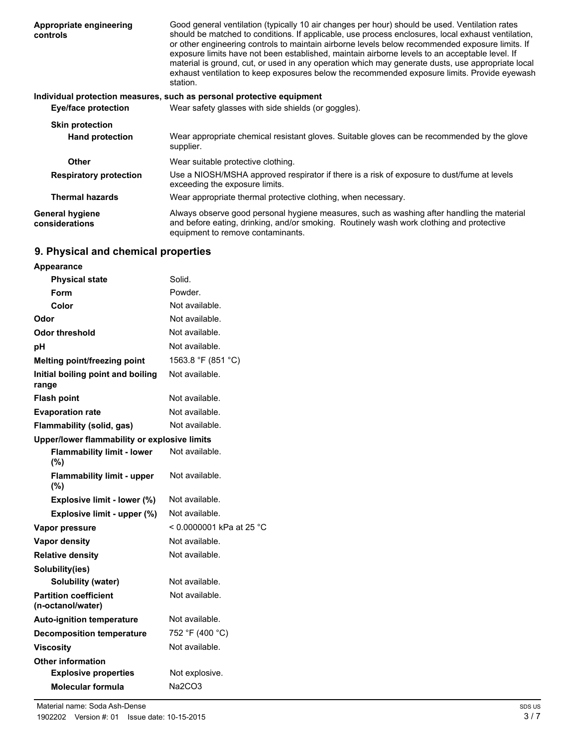| Appropriate engineering<br>controls | Good general ventilation (typically 10 air changes per hour) should be used. Ventilation rates<br>should be matched to conditions. If applicable, use process enclosures, local exhaust ventilation,<br>or other engineering controls to maintain airborne levels below recommended exposure limits. If<br>exposure limits have not been established, maintain airborne levels to an acceptable level. If<br>material is ground, cut, or used in any operation which may generate dusts, use appropriate local<br>exhaust ventilation to keep exposures below the recommended exposure limits. Provide eyewash<br>station. |
|-------------------------------------|----------------------------------------------------------------------------------------------------------------------------------------------------------------------------------------------------------------------------------------------------------------------------------------------------------------------------------------------------------------------------------------------------------------------------------------------------------------------------------------------------------------------------------------------------------------------------------------------------------------------------|
|                                     | Individual protection measures, such as personal protective equipment                                                                                                                                                                                                                                                                                                                                                                                                                                                                                                                                                      |
| <b>Eye/face protection</b>          | Wear safety glasses with side shields (or goggles).                                                                                                                                                                                                                                                                                                                                                                                                                                                                                                                                                                        |
| <b>Skin protection</b>              |                                                                                                                                                                                                                                                                                                                                                                                                                                                                                                                                                                                                                            |
| <b>Hand protection</b>              | Wear appropriate chemical resistant gloves. Suitable gloves can be recommended by the glove<br>supplier.                                                                                                                                                                                                                                                                                                                                                                                                                                                                                                                   |
| <b>Other</b>                        | Wear suitable protective clothing.                                                                                                                                                                                                                                                                                                                                                                                                                                                                                                                                                                                         |
| <b>Respiratory protection</b>       | Use a NIOSH/MSHA approved respirator if there is a risk of exposure to dust/fume at levels<br>exceeding the exposure limits.                                                                                                                                                                                                                                                                                                                                                                                                                                                                                               |
| <b>Thermal hazards</b>              | Wear appropriate thermal protective clothing, when necessary.                                                                                                                                                                                                                                                                                                                                                                                                                                                                                                                                                              |
| General hygiene<br>considerations   | Always observe good personal hygiene measures, such as washing after handling the material<br>and before eating, drinking, and/or smoking. Routinely wash work clothing and protective<br>equipment to remove contaminants.                                                                                                                                                                                                                                                                                                                                                                                                |

# **9. Physical and chemical properties**

| Appearance                                        |                          |
|---------------------------------------------------|--------------------------|
| <b>Physical state</b>                             | Solid.                   |
| Form                                              | Powder.                  |
| Color                                             | Not available.           |
| Odor                                              | Not available.           |
| Odor threshold                                    | Not available.           |
| рH                                                | Not available.           |
| Melting point/freezing point                      | 1563.8 °F (851 °C)       |
| Initial boiling point and boiling<br>range        | Not available.           |
| <b>Flash point</b>                                | Not available.           |
| <b>Evaporation rate</b>                           | Not available.           |
| Flammability (solid, gas)                         | Not available.           |
| Upper/lower flammability or explosive limits      |                          |
| <b>Flammability limit - lower</b><br>(%)          | Not available.           |
| <b>Flammability limit - upper</b><br>(%)          | Not available.           |
| Explosive limit - lower (%)                       | Not available.           |
| Explosive limit - upper (%)                       | Not available.           |
| Vapor pressure                                    | < 0.0000001 kPa at 25 °C |
| <b>Vapor density</b>                              | Not available.           |
| <b>Relative density</b>                           | Not available.           |
| Solubility(ies)                                   |                          |
| Solubility (water)                                | Not available.           |
| <b>Partition coefficient</b><br>(n-octanol/water) | Not available.           |
| <b>Auto-ignition temperature</b>                  | Not available.           |
| <b>Decomposition temperature</b>                  | 752 °F (400 °C)          |
| <b>Viscosity</b>                                  | Not available.           |
| <b>Other information</b>                          |                          |
| <b>Explosive properties</b>                       | Not explosive.           |
| Molecular formula                                 | Na2CO3                   |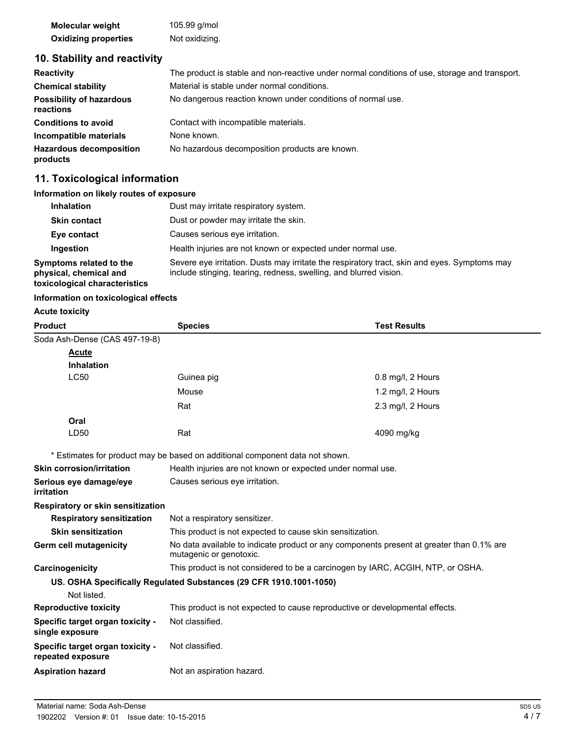| Molecular weight            | 105.99 g/mol   |
|-----------------------------|----------------|
| <b>Oxidizing properties</b> | Not oxidizing. |

# **10. Stability and reactivity**

| <b>Reactivity</b>                            | The product is stable and non-reactive under normal conditions of use, storage and transport. |
|----------------------------------------------|-----------------------------------------------------------------------------------------------|
| <b>Chemical stability</b>                    | Material is stable under normal conditions.                                                   |
| <b>Possibility of hazardous</b><br>reactions | No dangerous reaction known under conditions of normal use.                                   |
| <b>Conditions to avoid</b>                   | Contact with incompatible materials.                                                          |
| Incompatible materials                       | None known.                                                                                   |
| <b>Hazardous decomposition</b><br>products   | No hazardous decomposition products are known.                                                |

# **11. Toxicological information**

# **Information on likely routes of exposure**

| <b>Inhalation</b>                                                                  | Dust may irritate respiratory system.                                                                                                                             |
|------------------------------------------------------------------------------------|-------------------------------------------------------------------------------------------------------------------------------------------------------------------|
| <b>Skin contact</b>                                                                | Dust or powder may irritate the skin.                                                                                                                             |
| Eye contact                                                                        | Causes serious eve irritation.                                                                                                                                    |
| Ingestion                                                                          | Health injuries are not known or expected under normal use.                                                                                                       |
| Symptoms related to the<br>physical, chemical and<br>toxicological characteristics | Severe eye irritation. Dusts may irritate the respiratory tract, skin and eyes. Symptoms may<br>include stinging, tearing, redness, swelling, and blurred vision. |

### **Information on toxicological effects**

# **Acute toxicity**

| <b>Product</b>                                        | <b>Species</b>                                                                                                      | <b>Test Results</b> |  |
|-------------------------------------------------------|---------------------------------------------------------------------------------------------------------------------|---------------------|--|
| Soda Ash-Dense (CAS 497-19-8)                         |                                                                                                                     |                     |  |
| <b>Acute</b>                                          |                                                                                                                     |                     |  |
| <b>Inhalation</b>                                     |                                                                                                                     |                     |  |
| <b>LC50</b>                                           | Guinea pig                                                                                                          | 0.8 mg/l, 2 Hours   |  |
|                                                       | Mouse                                                                                                               | 1.2 mg/l, 2 Hours   |  |
|                                                       | Rat                                                                                                                 | 2.3 mg/l, 2 Hours   |  |
| Oral                                                  |                                                                                                                     |                     |  |
| LD50                                                  | Rat                                                                                                                 | 4090 mg/kg          |  |
|                                                       | * Estimates for product may be based on additional component data not shown.                                        |                     |  |
| <b>Skin corrosion/irritation</b>                      | Health injuries are not known or expected under normal use.                                                         |                     |  |
| Serious eye damage/eye<br>irritation                  | Causes serious eye irritation.                                                                                      |                     |  |
| <b>Respiratory or skin sensitization</b>              |                                                                                                                     |                     |  |
| <b>Respiratory sensitization</b>                      | Not a respiratory sensitizer.                                                                                       |                     |  |
| <b>Skin sensitization</b>                             | This product is not expected to cause skin sensitization.                                                           |                     |  |
| Germ cell mutagenicity                                | No data available to indicate product or any components present at greater than 0.1% are<br>mutagenic or genotoxic. |                     |  |
| Carcinogenicity                                       | This product is not considered to be a carcinogen by IARC, ACGIH, NTP, or OSHA.                                     |                     |  |
|                                                       | US. OSHA Specifically Regulated Substances (29 CFR 1910.1001-1050)                                                  |                     |  |
| Not listed.                                           |                                                                                                                     |                     |  |
| <b>Reproductive toxicity</b>                          | This product is not expected to cause reproductive or developmental effects.                                        |                     |  |
| Specific target organ toxicity -<br>single exposure   | Not classified.                                                                                                     |                     |  |
| Specific target organ toxicity -<br>repeated exposure | Not classified.                                                                                                     |                     |  |
| <b>Aspiration hazard</b>                              | Not an aspiration hazard.                                                                                           |                     |  |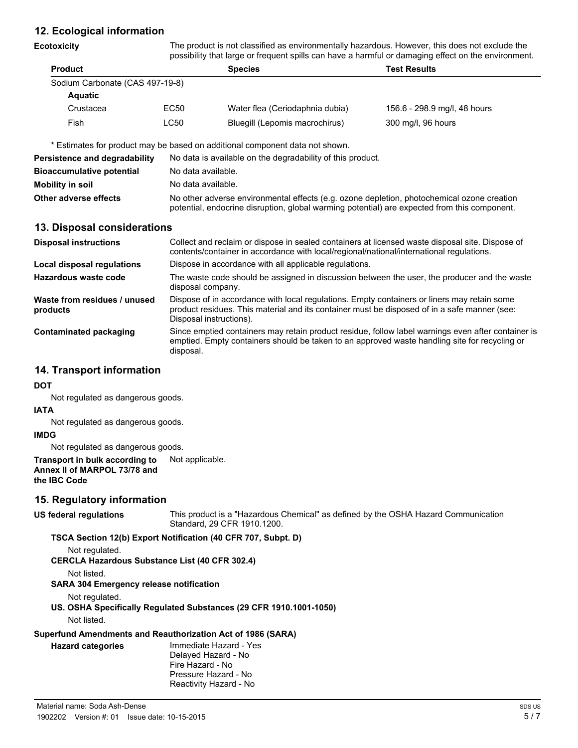# **12. Ecological information**

**Ecotoxicity**

The product is not classified as environmentally hazardous. However, this does not exclude the possibility that large or frequent spills can have a harmful or damaging effect on the environment.

| become into the detection and active about the continuation of monophilation and content on the continuum |                                 |                              |  |  |
|-----------------------------------------------------------------------------------------------------------|---------------------------------|------------------------------|--|--|
|                                                                                                           | <b>Species</b>                  | <b>Test Results</b>          |  |  |
|                                                                                                           |                                 |                              |  |  |
|                                                                                                           |                                 |                              |  |  |
| EC50                                                                                                      | Water flea (Ceriodaphnia dubia) | 156.6 - 298.9 mg/l, 48 hours |  |  |
| LC50                                                                                                      | Bluegill (Lepomis macrochirus)  | 300 mg/l, 96 hours           |  |  |
|                                                                                                           | Sodium Carbonate (CAS 497-19-8) |                              |  |  |

\* Estimates for product may be based on additional component data not shown.

| Persistence and degradability    | No data is available on the degradability of this product.                                                                                                                                 |  |
|----------------------------------|--------------------------------------------------------------------------------------------------------------------------------------------------------------------------------------------|--|
| <b>Bioaccumulative potential</b> | No data available.                                                                                                                                                                         |  |
| <b>Mobility in soil</b>          | No data available.                                                                                                                                                                         |  |
| Other adverse effects            | No other adverse environmental effects (e.g. ozone depletion, photochemical ozone creation<br>potential, endocrine disruption, global warming potential) are expected from this component. |  |

### **13. Disposal considerations**

| <b>Disposal instructions</b>             | Collect and reclaim or dispose in sealed containers at licensed waste disposal site. Dispose of<br>contents/container in accordance with local/regional/national/international regulations.                            |
|------------------------------------------|------------------------------------------------------------------------------------------------------------------------------------------------------------------------------------------------------------------------|
| Local disposal regulations               | Dispose in accordance with all applicable regulations.                                                                                                                                                                 |
| Hazardous waste code                     | The waste code should be assigned in discussion between the user, the producer and the waste<br>disposal company.                                                                                                      |
| Waste from residues / unused<br>products | Dispose of in accordance with local regulations. Empty containers or liners may retain some<br>product residues. This material and its container must be disposed of in a safe manner (see:<br>Disposal instructions). |
| Contaminated packaging                   | Since emptied containers may retain product residue, follow label warnings even after container is<br>emptied. Empty containers should be taken to an approved waste handling site for recycling or<br>disposal.       |

### **14. Transport information**

**DOT**

Not regulated as dangerous goods.

#### **IATA**

Not regulated as dangerous goods.

#### **IMDG**

Not regulated as dangerous goods.

#### **Transport in bulk according to** Not applicable. **Annex II of MARPOL 73/78 and the IBC Code**

## **15. Regulatory information**

### **US federal regulations**

This product is a "Hazardous Chemical" as defined by the OSHA Hazard Communication Standard, 29 CFR 1910.1200.

### **TSCA Section 12(b) Export Notification (40 CFR 707, Subpt. D)**

Not regulated.

**CERCLA Hazardous Substance List (40 CFR 302.4)**

Not listed.

### **SARA 304 Emergency release notification**

Not regulated.

**US. OSHA Specifically Regulated Substances (29 CFR 1910.1001-1050)**

Not listed.

**Hazard categories**

# **Superfund Amendments and Reauthorization Act of 1986 (SARA)**

Immediate Hazard - Yes Delayed Hazard - No Fire Hazard - No Pressure Hazard - No Reactivity Hazard - No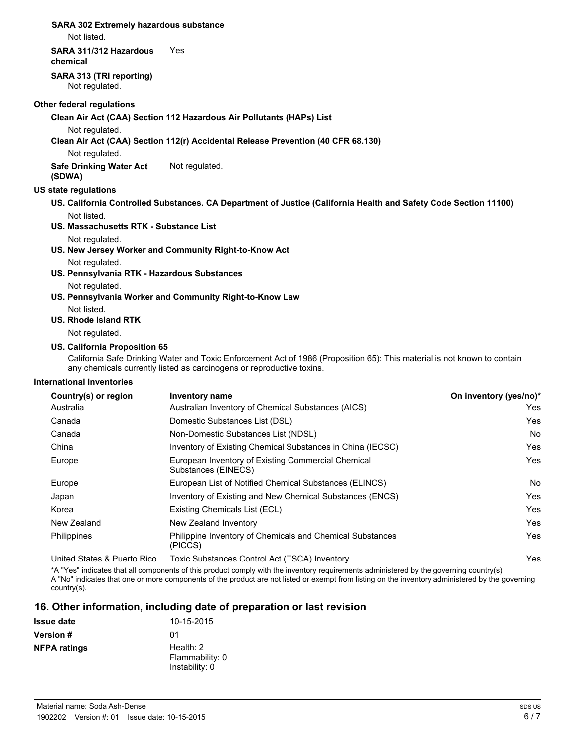#### **SARA 302 Extremely hazardous substance**

Not listed.

#### **SARA 311/312 Hazardous** Yes

**chemical**

**SARA 313 (TRI reporting)** Not regulated.

#### **Other federal regulations**

**Clean Air Act (CAA) Section 112 Hazardous Air Pollutants (HAPs) List**

Not regulated.

**Clean Air Act (CAA) Section 112(r) Accidental Release Prevention (40 CFR 68.130)**

Not regulated.

**Safe Drinking Water Act** Not regulated. **(SDWA)**

### **US state regulations**

- **US. California Controlled Substances. CA Department of Justice (California Health and Safety Code Section 11100)** Not listed.
- **US. Massachusetts RTK Substance List**
	- Not regulated.
- **US. New Jersey Worker and Community Right-to-Know Act**

Not regulated.

**US. Pennsylvania RTK - Hazardous Substances**

Not regulated.

- **US. Pennsylvania Worker and Community Right-to-Know Law**
	- Not listed.

### **US. Rhode Island RTK**

Not regulated.

### **US. California Proposition 65**

California Safe Drinking Water and Toxic Enforcement Act of 1986 (Proposition 65): This material is not known to contain any chemicals currently listed as carcinogens or reproductive toxins.

### **International Inventories**

| Country(s) or region        | Inventory name                                                            | On inventory (yes/no)* |
|-----------------------------|---------------------------------------------------------------------------|------------------------|
| Australia                   | Australian Inventory of Chemical Substances (AICS)                        | Yes                    |
| Canada                      | Domestic Substances List (DSL)                                            | Yes                    |
| Canada                      | Non-Domestic Substances List (NDSL)                                       | No                     |
| China                       | Inventory of Existing Chemical Substances in China (IECSC)                | Yes                    |
| Europe                      | European Inventory of Existing Commercial Chemical<br>Substances (EINECS) | Yes                    |
| Europe                      | European List of Notified Chemical Substances (ELINCS)                    | No                     |
| Japan                       | Inventory of Existing and New Chemical Substances (ENCS)                  | Yes                    |
| Korea                       | Existing Chemicals List (ECL)                                             | Yes                    |
| New Zealand                 | New Zealand Inventory                                                     | Yes                    |
| <b>Philippines</b>          | Philippine Inventory of Chemicals and Chemical Substances<br>(PICCS)      | Yes                    |
| United States & Puerto Rico | Toxic Substances Control Act (TSCA) Inventory                             | Yes                    |

\*A "Yes" indicates that all components of this product comply with the inventory requirements administered by the governing country(s) A "No" indicates that one or more components of the product are not listed or exempt from listing on the inventory administered by the governing country(s).

# **16. Other information, including date of preparation or last revision**

| <b>Issue date</b>   | 10-15-2015                                       |
|---------------------|--------------------------------------------------|
| <b>Version</b> #    | 01                                               |
| <b>NFPA ratings</b> | Health: $2$<br>Flammability: 0<br>Instability: 0 |